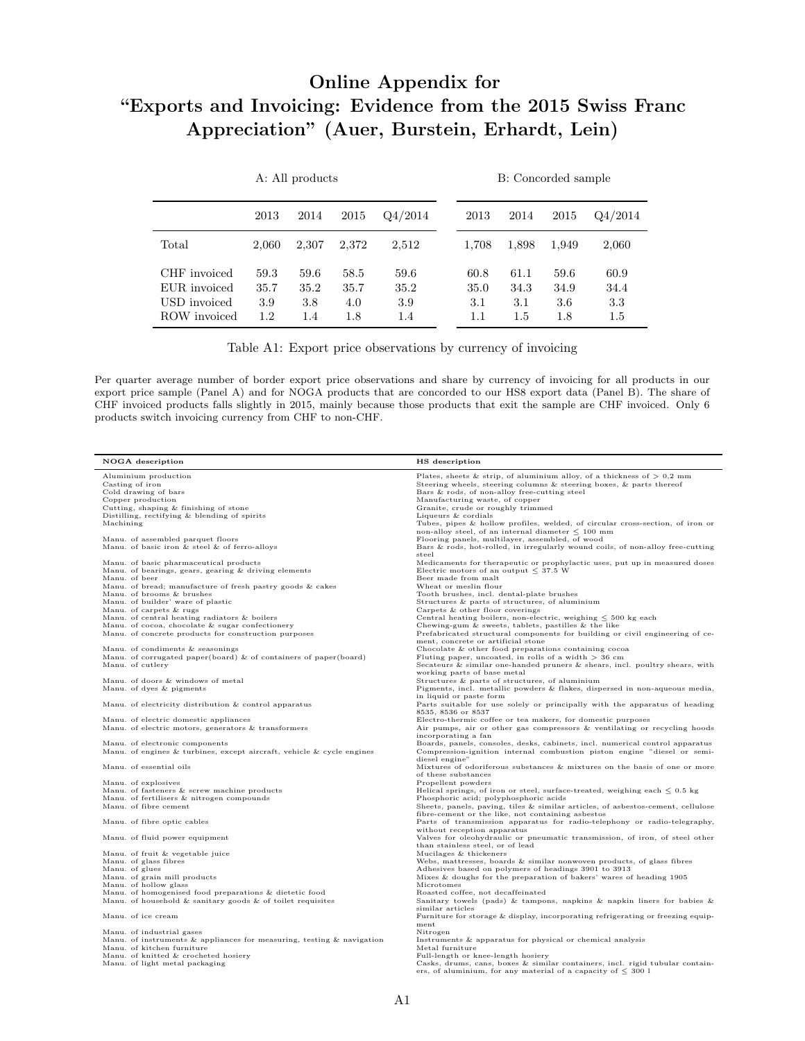## Online Appendix for "Exports and Invoicing: Evidence from the 2015 Swiss Franc Appreciation" (Auer, Burstein, Erhardt, Lein)

|                                                              |                                | A: All products            |                            |                            |  |                            | B: Concorded sample        |                            |                                |  |  |
|--------------------------------------------------------------|--------------------------------|----------------------------|----------------------------|----------------------------|--|----------------------------|----------------------------|----------------------------|--------------------------------|--|--|
|                                                              | 2013                           | 2014                       | 2015                       | Q4/2014                    |  | 2013                       | 2014                       | 2015                       | Q4/2014                        |  |  |
| Total                                                        | 2,060                          | 2,307                      | 2.372                      | 2,512                      |  | 1,708                      | 1,898                      | 1.949                      | 2,060                          |  |  |
| CHF invoiced<br>EUR invoiced<br>USD invoiced<br>ROW invoiced | 59.3<br>35.7<br>3.9<br>$1.2\,$ | 59.6<br>35.2<br>3.8<br>1.4 | 58.5<br>35.7<br>4.0<br>1.8 | 59.6<br>35.2<br>3.9<br>1.4 |  | 60.8<br>35.0<br>3.1<br>1.1 | 61.1<br>34.3<br>3.1<br>1.5 | 59.6<br>34.9<br>3.6<br>1.8 | 60.9<br>34.4<br>3.3<br>$1.5\,$ |  |  |

Table A1: Export price observations by currency of invoicing

Per quarter average number of border export price observations and share by currency of invoicing for all products in our export price sample (Panel A) and for NOGA products that are concorded to our HS8 export data (Panel B). The share of CHF invoiced products falls slightly in 2015, mainly because those products that exit the sample are CHF invoiced. Only 6 products switch invoicing currency from CHF to non-CHF.

| NOGA description                                                                                            | HS description                                                                                                                                          |
|-------------------------------------------------------------------------------------------------------------|---------------------------------------------------------------------------------------------------------------------------------------------------------|
| Aluminium production                                                                                        | Plates, sheets & strip, of aluminium alloy, of a thickness of $> 0.2$ mm                                                                                |
| Casting of iron                                                                                             | Steering wheels, steering columns & steering boxes, & parts thereof                                                                                     |
| Cold drawing of bars                                                                                        | Bars & rods, of non-alloy free-cutting steel                                                                                                            |
| Copper production                                                                                           | Manufacturing waste, of copper                                                                                                                          |
| Cutting, shaping & finishing of stone                                                                       | Granite, crude or roughly trimmed                                                                                                                       |
| Distilling, rectifying & blending of spirits                                                                | Liqueurs & cordials                                                                                                                                     |
| Machining                                                                                                   | Tubes, pipes & hollow profiles, welded, of circular cross-section, of iron or<br>non-alloy steel, of an internal diameter $\leq 100$ mm                 |
| Manu. of assembled parquet floors                                                                           | Flooring panels, multilayer, assembled, of wood                                                                                                         |
| Manu. of basic iron & steel & of ferro-alloys                                                               | Bars & rods, hot-rolled, in irregularly wound coils, of non-alloy free-cutting                                                                          |
|                                                                                                             | steel                                                                                                                                                   |
| Manu. of basic pharmaceutical products                                                                      | Medicaments for therapeutic or prophylactic uses, put up in measured doses                                                                              |
| Manu. of bearings, gears, gearing & driving elements                                                        | Electric motors of an output $\leq$ 37.5 W                                                                                                              |
| Manu. of beer                                                                                               | Beer made from malt                                                                                                                                     |
| Manu. of bread; manufacture of fresh pastry goods & cakes                                                   | Wheat or meslin flour                                                                                                                                   |
| Manu. of brooms & brushes                                                                                   | Tooth brushes, incl. dental-plate brushes                                                                                                               |
| Manu. of builder' ware of plastic                                                                           | Structures & parts of structures, of aluminium                                                                                                          |
| Manu. of carpets & rugs<br>Manu. of central heating radiators & boilers                                     | Carpets & other floor coverings                                                                                                                         |
| Manu. of cocoa, chocolate & sugar confectionery                                                             | Central heating boilers, non-electric, weighing $\leq 500$ kg each<br>Chewing-gum & sweets, tablets, pastilles & the like                               |
| Manu. of concrete products for construction purposes                                                        | Prefabricated structural components for building or civil engineering of ce-                                                                            |
|                                                                                                             | ment, concrete or artificial stone                                                                                                                      |
| Manu. of condiments & seasonings                                                                            | Chocolate & other food preparations containing cocoa                                                                                                    |
| Manu. of corrugated paper(board) $\&$ of containers of paper(board)                                         | Fluting paper, uncoated, in rolls of a width $>$ 36 cm                                                                                                  |
| Manu. of cutlery                                                                                            | Secateurs & similar one-handed pruners & shears, incl. poultry shears, with                                                                             |
|                                                                                                             | working parts of base metal                                                                                                                             |
| Manu. of doors & windows of metal                                                                           | Structures & parts of structures, of aluminium                                                                                                          |
| Manu. of dyes & pigments                                                                                    | Pigments, incl. metallic powders & flakes, dispersed in non-aqueous media,                                                                              |
|                                                                                                             | in liquid or paste form                                                                                                                                 |
| Manu. of electricity distribution & control apparatus                                                       | Parts suitable for use solely or principally with the apparatus of heading                                                                              |
|                                                                                                             | 8535, 8536 or 8537                                                                                                                                      |
| Manu. of electric domestic appliances                                                                       | Electro-thermic coffee or tea makers, for domestic purposes                                                                                             |
| Manu. of electric motors, generators & transformers                                                         | Air pumps, air or other gas compressors & ventilating or recycling hoods                                                                                |
|                                                                                                             | incorporating a fan                                                                                                                                     |
| Manu. of electronic components<br>Manu. of engines $&$ turbines, except aircraft, vehicle $&$ cycle engines | Boards, panels, consoles, desks, cabinets, incl. numerical control apparatus<br>Compression-ignition internal combustion piston engine "diesel or semi- |
|                                                                                                             | diesel engine"                                                                                                                                          |
| Manu. of essential oils                                                                                     | Mixtures of odoriferous substances & mixtures on the basis of one or more                                                                               |
|                                                                                                             | of these substances                                                                                                                                     |
| Manu. of explosives                                                                                         | Propellent powders                                                                                                                                      |
| Manu. of fasteners & screw machine products                                                                 | Helical springs, of iron or steel, surface-treated, weighing each $\leq 0.5$ kg                                                                         |
| Manu. of fertilisers & nitrogen compounds                                                                   | Phosphoric acid; polyphosphoric acids                                                                                                                   |
| Manu. of fibre cement                                                                                       | Sheets, panels, paving, tiles & similar articles, of asbestos-cement, cellulose                                                                         |
|                                                                                                             | fibre-cement or the like, not containing asbestos                                                                                                       |
| Manu. of fibre optic cables                                                                                 | Parts of transmission apparatus for radio-telephony or radio-telegraphy,                                                                                |
|                                                                                                             | without reception apparatus                                                                                                                             |
| Manu. of fluid power equipment                                                                              | Valves for oleohydraulic or pneumatic transmission, of iron, of steel other                                                                             |
|                                                                                                             | than stainless steel, or of lead                                                                                                                        |
| Manu. of fruit & vegetable juice                                                                            | Mucilages & thickeners                                                                                                                                  |
| Manu. of glass fibres                                                                                       | Webs, mattresses, boards $\&$ similar nonwoven products, of glass fibres                                                                                |
| Manu. of glues<br>Manu. of grain mill products                                                              | Adhesives based on polymers of headings 3901 to 3913                                                                                                    |
| Manu. of hollow glass                                                                                       | Mixes $\&$ doughs for the preparation of bakers' wares of heading 1905<br>Microtomes                                                                    |
| Manu. of homogenised food preparations & dietetic food                                                      | Roasted coffee, not decaffeinated                                                                                                                       |
| Manu. of household & sanitary goods & of toilet requisites                                                  | Sanitary towels (pads) & tampons, napkins & napkin liners for babies &                                                                                  |
|                                                                                                             | similar articles                                                                                                                                        |
| Manu, of ice cream                                                                                          | Furniture for storage & display, incorporating refrigerating or freezing equip-                                                                         |
|                                                                                                             | ment                                                                                                                                                    |
| Manu. of industrial gases                                                                                   | Nitrogen                                                                                                                                                |
| Manu. of instruments $\&$ appliances for measuring, testing $\&$ navigation                                 | Instruments & apparatus for physical or chemical analysis                                                                                               |
| Manu. of kitchen furniture                                                                                  | Metal furniture                                                                                                                                         |
| Manu. of knitted & crocheted hosiery                                                                        | Full-length or knee-length hosiery                                                                                                                      |
| Manu. of light metal packaging                                                                              | Casks, drums, cans, boxes & similar containers, incl. rigid tubular contain-                                                                            |
|                                                                                                             | ers, of aluminium, for any material of a capacity of $\leq 300$ l                                                                                       |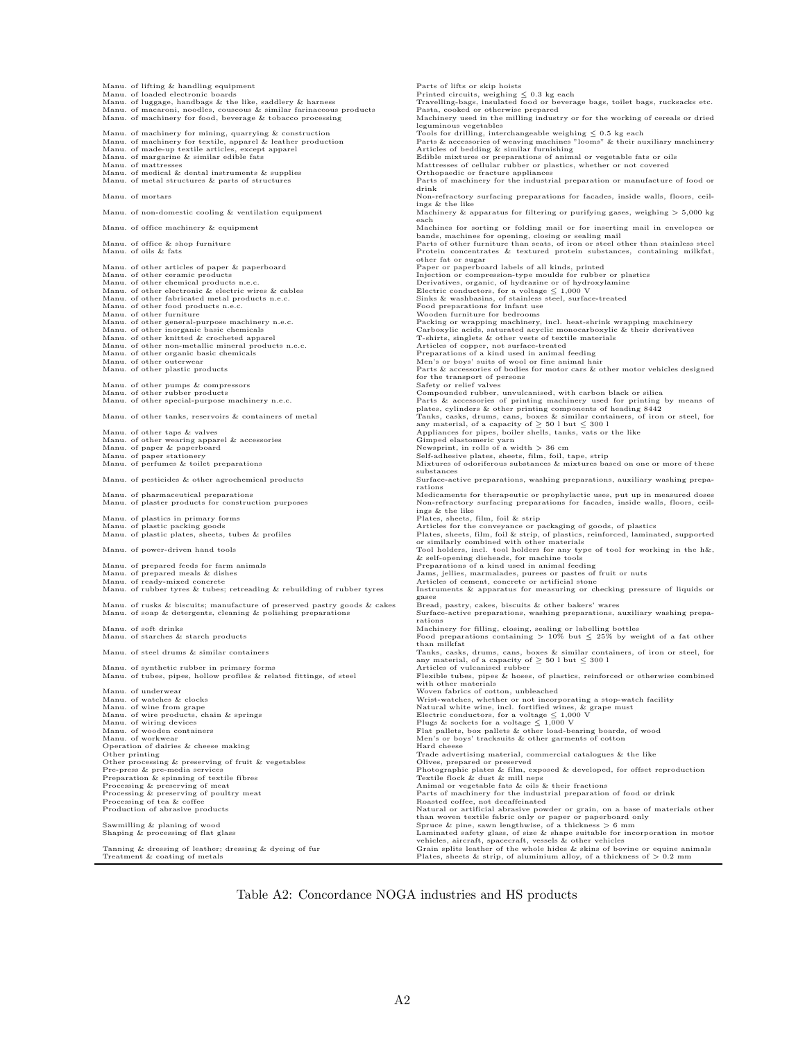Manu. of lifting  $\&$  handling equipment<br>Manu. of loaded electronic boards Manu. of loaded electronic boards<br>Manu. of luggage, handbags & the like, saddlery & harness Travelling-bags, insulated food or beverage bags, toilet bags, rucksacks etc. Manu. of macaroni, noodles, couscous & similar farinaceous products Manu. of machinery for food, beverage & tobacco processing Manu. of machinery for food, beverage & tobacco processing Machinery used in the milling industry or for the working of cereals or dried leguminous vegetables Manu. of machinery for mining, quarrying & construction Tools for drilling, interchangeable weighing ≤ 0.5 kg each Manu. of machinery for textile, apparel & leather production Parts & accessories of weaving machines "looms" & their auxiliary machinery Manu. of made-up textile articles, except apparel Articles of bedding & similar furnishing Manu. of margarine & similar edible fats Edible mixtures or preparations of animal or vegetable fats or oils Manu. of mattresses Mattresses of cellular rubber or plastics, whether or not covered Manu. of medical  $\&$  dental instruments  $\&$  supplies Manu. of metal structures  $\&$  parts of structures Manu. of metal structures & parts of structures Parts of machinery for the industrial preparation or manufacture of food or drink Manu. of mortars Non-refractory surfacing preparations for facades, inside walls, floors, ceil-ings & the like Manu. of non-domestic cooling & ventilation equipment Machinery & apparatus for filtering or purifying gases, weighing > 5,000 kg each Manu. of office machinery & equipment (Machines for sorting or folding mail or for inserting mail in envelopes or<br>Manu. of office & shop furniture than stainless steel<br>Manu. of oils & fats (State of the Parts of the Protei other fat or sugar Manu. of other articles of paper & paperboard Paper or paperboard labels of all kinds, printed Injection or compression-type moulds for rubber or plastics Manu. of other chemical products n.e.c. Derivatives, organic, of hydrazine or of hydroxylamine Manu. of other electronic & electric wires & cables Electric conductors, for a voltage ≤ 1,000 V Manu. of other fabricated metal products n.e.c. Sinks & washbasins, of stainless steel, surface-treated Manu. of other food products n.e.c. Food preparations for infant use Manu. of other furniture Wooden furniture for bedrooms Manu. of other general-purpose machinery n.e.c. Packing or wrapping machinery, incl. heat-shrink wrapping machinery Manu. of other inorganic basic chemicals Carboxylic acids, saturated acyclic monocarboxylic & their derivatives Manu. of other knitted & crocheted apparel T-shirts, singlets & other vests of textile materials Manu. of other non-metallic mineral products n.e.c. Articles of copper, not surface-treated Manu. of other organic basic chemicals Preparations of a kind used in animal feeding Manu. of other outerwear Men's or boys' suits of wool or fine animal hair Manu. of other plastic products Parts & accessories of bodies for motor cars & other motor vehicles designed for the transport of persons<br>Safety or relief valves Manu. of other pumps & compressors Manu. of other rubber products Compounded rubber, unvulcanised, with carbon black or silica Manu. of other special-purpose machinery n.e.c. Parts & accessories of printing machinery under the printing plates, cylinders & other tanks, reservoirs & containers of metal plates, cylinders & cheap and plates, cylinders Manu. of other wearing apparel & accessories Gimped elastomeric yarn Manu. of paper & paperboard Newsprint, in rolls of a width > 36 cm Manu. of paper stationery (Self-adhesive plates, sheets, film, foil, tape, strip (Self-adhesive plates, sheets, film, foil, tape, strip (Mixtures of our more of these of these of these of these or more of these or more of Manu. of pesticides & other agrochemical products Surface-active preparations, washing preparations, auxiliary washing preparations Manu. of pharmaceutical preparations urposes and many of the magnetic or prophylactic uses, put up in measured doses<br>Manu. of plaster products for construction purposes and the same of the like starfactory surfacing prepar Manu. of plastics in primary forms<br>
Manu. of plastic packet, sheets, then we are the conveyance or packaging of goods, of plastics<br>
Manu. of plastic plates, sheets, these & profiles<br>
Manu. of plastic plates, sheets, these Manu. of rubber tyres & tubes; retreading & rebuilding of rubber tyres Instruments & apparatus for measuring or checking pressure of liquids or Bread, pastry, cakes, biscuits & other bakers' wares Manu. of rusks & biscuits; manufacture of preserved pastry goods & cakes Manu. of soap & detergents, cleaning & polishing preparations active preparations, washing preparations, auxiliary washing prepa-Surface<br>rations Manu. of soft drinks Machinery for filling, closing, sealing or labelling bottles Manu. of starches & starch products Food preparations containing > 10% but ≤ 25% by weight of a fat other than milkfat<br>Manu. of steel drums & similar containers Tanks, casks, drums, cans, boxes & similar containers, of iron or steel, for<br>any material, of a capacity of > 50 l but < 300 l Manu. of synthetic rubber in primary forms and the primary forms Articles of vulcanised rubber Manu. of tubes, pipes, hollow profiles & related fittings, of steel Flexible tubes, pipes & hoses Manu. of tubes, pipes, hollow profiles & related fittings, of steel Flexible tubes, pipes & hoses, of plastics, reinforced or otherwise combined with other materials Manu. of underwear Woven fabrics of cotton, unbleached Manu. of watches & clocks<br>
Manu. of wine from grape<br>
Manu. of wine from grape<br>
Manu. of wire products, chain & springs<br>
Manu. of worden conductors, for a voltage ≤ 1,000 V<br>
Manu. of worden conductors, for a voltage ≤ 1,00 Manu. of wiring devices and a spring of the primary of the plugs & soc Manu. of worden containers and the plugs & soc Manu. of workwear and the Manusculing Manusculing Manusculing Manusculing Manusculing Manusculing Manusc Other printing Trade advertising material, commercial catalogues & the like Other processing & preserving of fruit & vegetables Olives, prepared or preserved Pre-press & pre-media services Photographic plates & film, exposed & developed, for offset reproduction Preparation & spinning of textile fibres Textile flock & dust & mill neps Processing & preserving of meat  $\blacksquare$  Animal or vegetable fats & oils & their fractions Processing & preserving of poultry meat **Parts** Parts of machinery for the industrial preparation of food or drink Processing  $\&$  preserving of meat<br>Processing  $\&$  preserving of poultry meat<br>Processing of tea  $\&$  coffee<br>Processing of tea  $\&$  coffee<br>Production of abrasive products Production of abrasive products Natural or artificial abrasive powder or grain, on a base of materials other than woven textile fabric only or paper or paperboard only<br>Shaping & planing of wood states that is a series to the same left of the second to the series of a thickness<br>Daninated safety glass, of size & shape suitable for Tanning & dressing of leather; dressing & dyeing of fur Grain splits leather of the whole hides & skins of bovine or equine animals Treatment & coating of metals Plates, sheets & strip, of aluminium alloy, of a thickness of > 0.2 mm

Table A2: Concordance NOGA industries and HS products